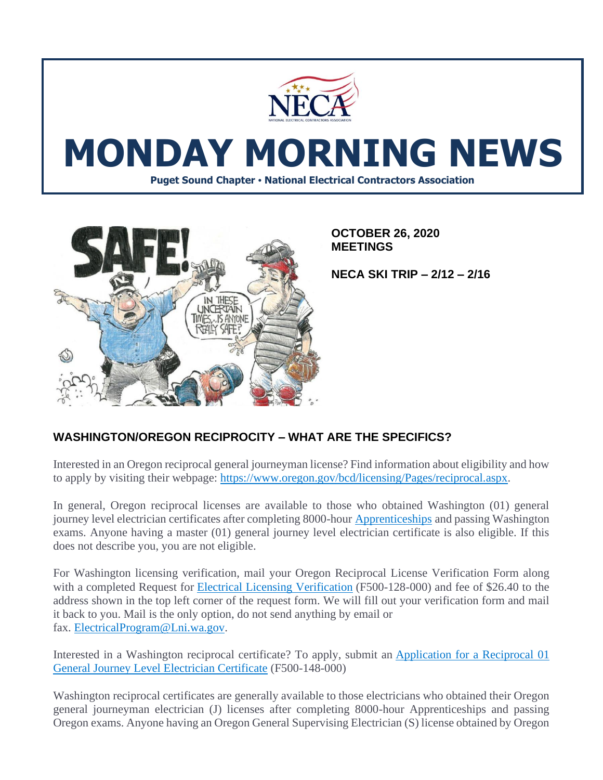

# **MONDAY MORNING NEWS**

**Puget Sound Chapter • National Electrical Contractors Association**



**OCTOBER 26, 2020 MEETINGS**

**NECA SKI TRIP – 2/12 – 2/16**

# **WASHINGTON/OREGON RECIPROCITY – WHAT ARE THE SPECIFICS?**

Interested in an Oregon reciprocal general journeyman license? Find information about eligibility and how to apply by visiting their webpage: [https://www.oregon.gov/bcd/licensing/Pages/reciprocal.aspx.](https://www.oregon.gov/bcd/licensing/Pages/reciprocal.aspx)

In general, Oregon reciprocal licenses are available to those who obtained Washington (01) general journey level electrician certificates after completing 8000-hour [Apprenticeships](https://app.leg.wa.gov/WAC/default.aspx?cite=296-05-003) and passing Washington exams. Anyone having a master (01) general journey level electrician certificate is also eligible. If this does not describe you, you are not eligible.

For Washington licensing verification, mail your Oregon Reciprocal License Verification Form along with a completed Request for [Electrical Licensing Verification](https://lni.wa.gov/forms-publications/F500-128-000.pdf) (F500-128-000) and fee of \$26.40 to the address shown in the top left corner of the request form. We will fill out your verification form and mail it back to you. Mail is the only option, do not send anything by email or fax. [ElectricalProgram@Lni.wa.gov.](mailto:ElectricalProgram@Lni.wa.gov)

Interested in a Washington reciprocal certificate? To apply, submit an [Application for a Reciprocal 01](https://lni.wa.gov/forms-publications/F500-148-000.pdf)  [General Journey Level Electrician Certificate](https://lni.wa.gov/forms-publications/F500-148-000.pdf) (F500-148-000)

Washington reciprocal certificates are generally available to those electricians who obtained their Oregon general journeyman electrician (J) licenses after completing 8000-hour Apprenticeships and passing Oregon exams. Anyone having an Oregon General Supervising Electrician (S) license obtained by Oregon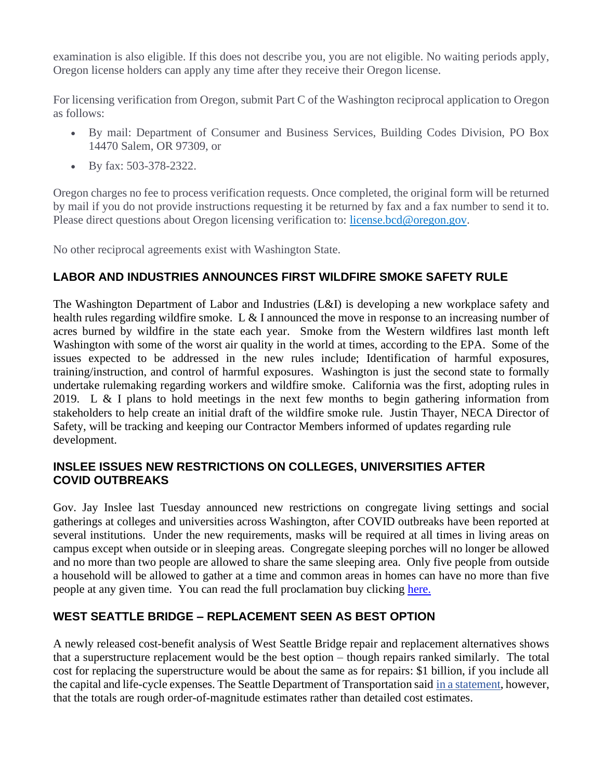examination is also eligible. If this does not describe you, you are not eligible. No waiting periods apply, Oregon license holders can apply any time after they receive their Oregon license.

For licensing verification from Oregon, submit Part C of the Washington reciprocal application to Oregon as follows:

- By mail: Department of Consumer and Business Services, Building Codes Division, PO Box 14470 Salem, OR 97309, or
- By fax: 503-378-2322.

Oregon charges no fee to process verification requests. Once completed, the original form will be returned by mail if you do not provide instructions requesting it be returned by fax and a fax number to send it to. Please direct questions about Oregon licensing verification to: [license.bcd@oregon.gov.](mailto:license.bcd@oregon.gov)

No other reciprocal agreements exist with Washington State.

## **LABOR AND INDUSTRIES ANNOUNCES FIRST WILDFIRE SMOKE SAFETY RULE**

The Washington Department of Labor and Industries (L&I) is developing a new workplace safety and health rules regarding wildfire smoke. L & I announced the move in response to an increasing number of acres burned by wildfire in the state each year. Smoke from the Western wildfires last month left Washington with some of the worst air quality in the world at times, according to the EPA. Some of the issues expected to be addressed in the new rules include; Identification of harmful exposures, training/instruction, and control of harmful exposures. Washington is just the second state to formally undertake rulemaking regarding workers and wildfire smoke. California was the first, adopting rules in 2019. L & I plans to hold meetings in the next few months to begin gathering information from stakeholders to help create an initial draft of the wildfire smoke rule. Justin Thayer, NECA Director of Safety, will be tracking and keeping our Contractor Members informed of updates regarding rule development.

#### **INSLEE ISSUES NEW RESTRICTIONS ON COLLEGES, UNIVERSITIES AFTER COVID OUTBREAKS**

Gov. Jay Inslee last Tuesday announced new restrictions on congregate living settings and social gatherings at colleges and universities across Washington, after COVID outbreaks have been reported at several institutions. Under the new requirements, masks will be required at all times in living areas on campus except when outside or in sleeping areas. Congregate sleeping porches will no longer be allowed and no more than two people are allowed to share the same sleeping area. Only five people from outside a household will be allowed to gather at a time and common areas in homes can have no more than five people at any given time. You can read the full proclamation buy clicking [here.](https://www.governor.wa.gov/sites/default/files/proclamations/proc_20-12.2.pdf?utm_medium=email&utm_source=govdelivery)

## **WEST SEATTLE BRIDGE – REPLACEMENT SEEN AS BEST OPTION**

A newly released cost-benefit analysis of West Seattle Bridge repair and replacement alternatives shows that a superstructure replacement would be the best option – though repairs ranked similarly. The total cost for replacing the superstructure would be about the same as for repairs: \$1 billion, if you include all the capital and life-cycle expenses. The Seattle Department of Transportation said [in a statement,](https://sdotblog.seattle.gov/2020/10/20/weve-completed-a-cost-benefit-analysis-to-support-and-inform-the-repair-or-replacement-paths-forward-for-the-west-seattle-high-rise-bridge/) however, that the totals are rough order-of-magnitude estimates rather than detailed cost estimates.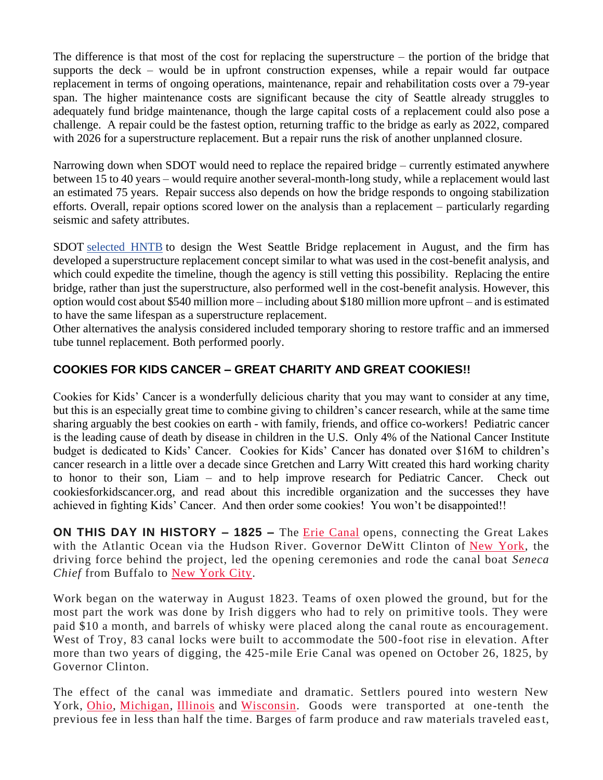The difference is that most of the cost for replacing the superstructure – the portion of the bridge that supports the deck – would be in upfront construction expenses, while a repair would far outpace replacement in terms of ongoing operations, maintenance, repair and rehabilitation costs over a 79-year span. The higher maintenance costs are significant because the city of Seattle already struggles to adequately fund bridge maintenance, though the large capital costs of a replacement could also pose a challenge. A repair could be the fastest option, returning traffic to the bridge as early as 2022, compared with 2026 for a superstructure replacement. But a repair runs the risk of another unplanned closure.

Narrowing down when SDOT would need to replace the repaired bridge – currently estimated anywhere between 15 to 40 years – would require another several-month-long study, while a replacement would last an estimated 75 years. Repair success also depends on how the bridge responds to ongoing stabilization efforts. Overall, repair options scored lower on the analysis than a replacement – particularly regarding seismic and safety attributes.

SDOT [selected HNTB](https://www.bizjournals.com/seattle/news/2020/08/19/sdot-hntb-west-seattle-bridge-replacement-design.html) to design the West Seattle Bridge replacement in August, and the firm has developed a superstructure replacement concept similar to what was used in the cost-benefit analysis, and which could expedite the timeline, though the agency is still vetting this possibility. Replacing the entire bridge, rather than just the superstructure, also performed well in the cost-benefit analysis. However, this option would cost about \$540 million more – including about \$180 million more upfront – and is estimated to have the same lifespan as a superstructure replacement.

Other alternatives the analysis considered included temporary shoring to restore traffic and an immersed tube tunnel replacement. Both performed poorly.

# **COOKIES FOR KIDS CANCER – GREAT CHARITY AND GREAT COOKIES!!**

Cookies for Kids' Cancer is a wonderfully delicious charity that you may want to consider at any time, but this is an especially great time to combine giving to children's cancer research, while at the same time sharing arguably the best cookies on earth - with family, friends, and office co-workers! Pediatric cancer is the leading cause of death by disease in children in the U.S. Only 4% of the National Cancer Institute budget is dedicated to Kids' Cancer. Cookies for Kids' Cancer has donated over \$16M to children's cancer research in a little over a decade since Gretchen and Larry Witt created this hard working charity to honor to their son, Liam – and to help improve research for Pediatric Cancer. Check out cookiesforkidscancer.org, and read about this incredible organization and the successes they have achieved in fighting Kids' Cancer. And then order some cookies! You won't be disappointed!!

**ON THIS DAY IN HISTORY – 1825 –** The [Erie Canal](https://www.history.com/topics/erie-canal) opens, connecting the Great Lakes with the Atlantic Ocean via the Hudson River. Governor DeWitt Clinton of [New York,](https://www.history.com/topics/us-states/new-york) the driving force behind the project, led the opening ceremonies and rode the canal boat *Seneca Chief* from Buffalo to [New York City.](https://www.history.com/topics/new-york-city)

Work began on the waterway in August 1823. Teams of oxen plowed the ground, but for the most part the work was done by Irish diggers who had to rely on primitive tools. They were paid \$10 a month, and barrels of whisky were placed along the canal route as encouragement. West of Troy, 83 canal locks were built to accommodate the 500-foot rise in elevation. After more than two years of digging, the 425-mile Erie Canal was opened on October 26, 1825, by Governor Clinton.

The effect of the canal was immediate and dramatic. Settlers poured into western New York, [Ohio,](https://www.history.com/topics/us-states/ohio) [Michigan,](https://www.history.com/topics/us-states/michigan) [Illinois](https://www.history.com/topics/us-states/illinois) and [Wisconsin.](https://www.history.com/topics/us-states/wisconsin) Goods were transported at one-tenth the previous fee in less than half the time. Barges of farm produce and raw materials traveled east,